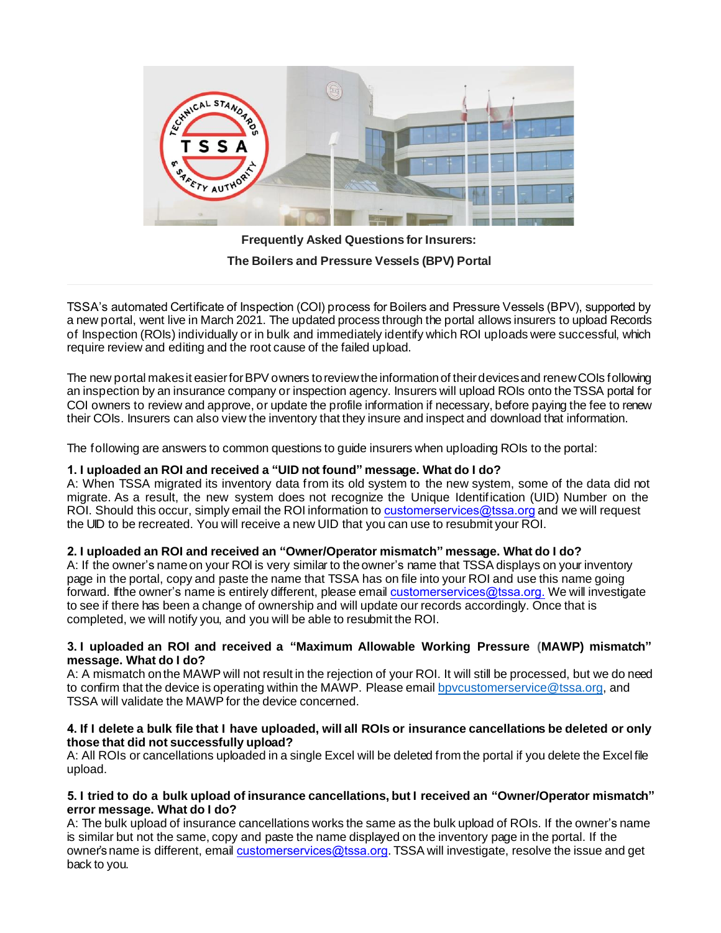

**Frequently Asked Questions for Insurers: The Boilers and Pressure Vessels (BPV) Portal**

TSSA's automated Certificate of Inspection (COI) process for Boilers and Pressure Vessels (BPV), supported by a new portal, went live in March 2021. The updated process through the portal allows insurers to upload Records of Inspection (ROIs) individually or in bulk and immediately identify which ROI uploads were successful, which require review and editing and the root cause of the failed upload.

The new portal makes it easier for BPV owners to review the information of their devices and renew COIs following an inspection by an insurance company or inspection agency. Insurers will upload ROIs onto the TSSA portal for COI owners to review and approve, or update the profile information if necessary, before paying the fee to renew their COIs. Insurers can also view the inventory that they insure and inspect and download that information.

The following are answers to common questions to guide insurers when uploading ROIs to the portal:

## **1. I uploaded an ROI and received a "UID not found" message. What do I do?**

A: When TSSA migrated its inventory data from its old system to the new system, some of the data did not migrate. As a result, the new system does not recognize the Unique Identification (UID) Number on the ROI. Should this occur, simply email the ROI information [to](mailto:bpv_inquiries@tssa.org) customerservices@tssa.org and we will request the UID to be recreated. You will receive a new UID that you can use to resubmit your ROI.

## **2. I uploaded an ROI and received an "Owner/Operator mismatch" message. What do I do?**

A: If the owner's name on your ROI is very similar to the owner's name that TSSA displays on your inventory page in the portal, copy and paste the name that TSSA has on file into your ROI and use this name going forward. If the owner's name is entirely different, please em[ail](mailto:bpv_inquiries@tssa.org) customerservices@tssa.org. We will investigate to see if there has been a change of ownership and will update our records accordingly. Once that is completed, we will notify you, and you will be able to resubmit the ROI.

### **3. I uploaded an ROI and received a "Maximum Allowable Working Pressure (MAWP) mismatch" message. What do I do?**

A: A mismatch on the MAWP will not result in the rejection of your ROI. It will still be processed, but we do need to confirm that the device is operating within the MAWP. Please email bpycustomerservice@tssa.org, and TSSA will validate the MAWP for the device concerned.

### **4. If I delete a bulk file that I have uploaded, will all ROIs or insurance cancellations be deleted or only those that did not successfully upload?**

A: All ROIs or cancellations uploaded in a single Excel will be deleted from the portal if you delete the Excel file upload.

### **5. I tried to do a bulk upload of insurance cancellations, but I received an "Owner/Operator mismatch" error message. What do I do?**

A: The bulk upload of insurance cancellations works the same as the bulk upload of ROIs. If the owner's name is similar but not the same, copy and paste the name displayed on the inventory page in the portal. If the owner's name is different, email [customerservices@tssa.org](mailto:bpv_inquiries@tssa.org). TSSA will investigate, resolve the issue and get back to you.